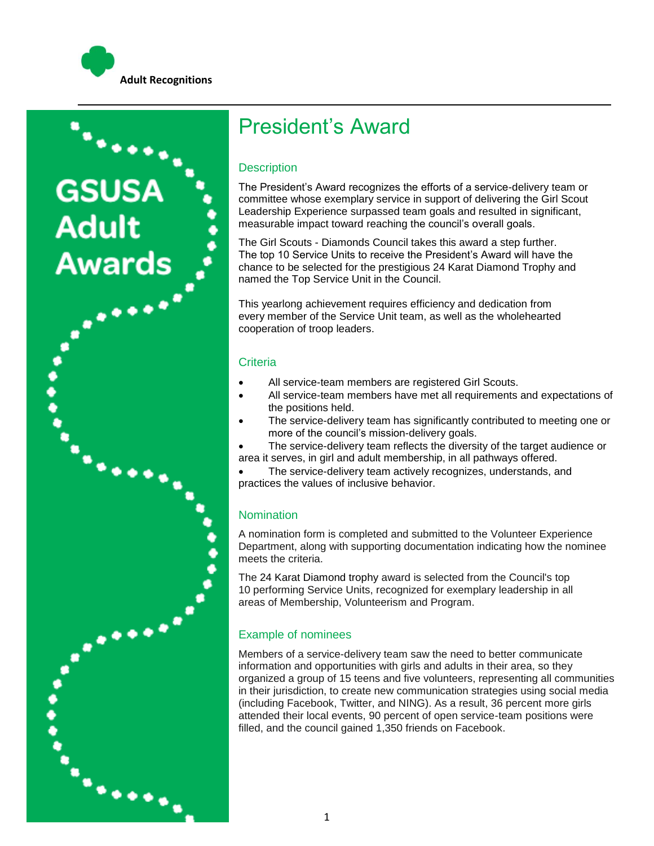

GSUSA **Adult Awards** 

in<br>Interna

### President's Award

### **Description**

The President's Award recognizes the efforts of a service-delivery team or committee whose exemplary service in support of delivering the Girl Scout Leadership Experience surpassed team goals and resulted in significant, measurable impact toward reaching the council's overall goals.

The Girl Scouts - Diamonds Council takes this award a step further. The top 10 Service Units to receive the President's Award will have the chance to be selected for the prestigious 24 Karat Diamond Trophy and named the Top Service Unit in the Council.

This yearlong achievement requires efficiency and dedication from every member of the Service Unit team, as well as the wholehearted cooperation of troop leaders.

### **Criteria**

- All service-team members are registered Girl Scouts.
- All service-team members have met all requirements and expectations of the positions held.
- The service-delivery team has significantly contributed to meeting one or more of the council's mission-delivery goals.
- The service-delivery team reflects the diversity of the target audience or area it serves, in girl and adult membership, in all pathways offered.

The service-delivery team actively recognizes, understands, and practices the values of inclusive behavior.

### Nomination

A nomination form is completed and submitted to the Volunteer Experience Department, along with supporting documentation indicating how the nominee meets the criteria.

The 24 Karat Diamond trophy award is selected from the Council's top 10 performing Service Units, recognized for exemplary leadership in all areas of Membership, Volunteerism and Program.

### Example of nominees

Members of a service-delivery team saw the need to better communicate information and opportunities with girls and adults in their area, so they organized a group of 15 teens and five volunteers, representing all communities in their jurisdiction, to create new communication strategies using social media (including Facebook, Twitter, and NING). As a result, 36 percent more girls attended their local events, 90 percent of open service-team positions were filled, and the council gained 1,350 friends on Facebook.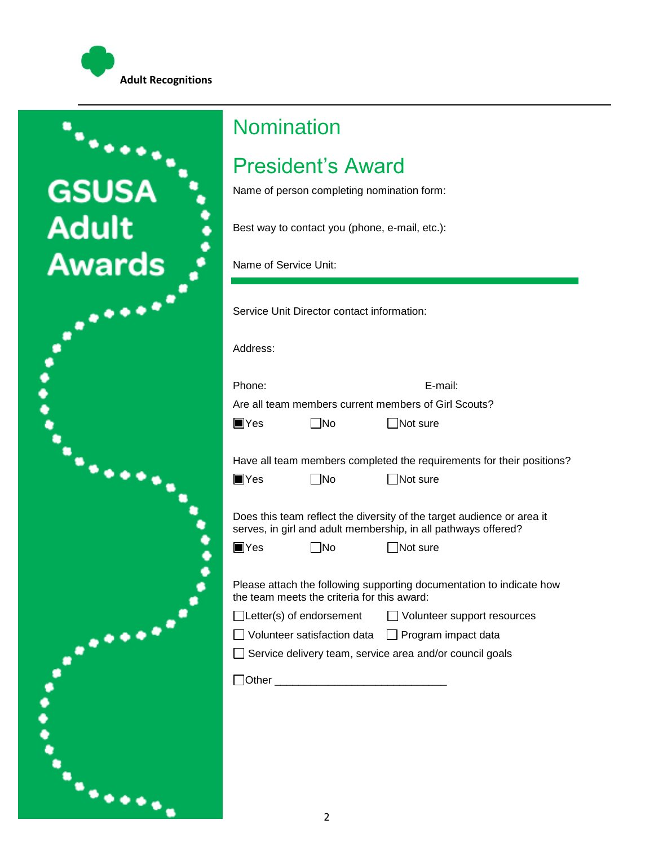

## **GSUSA Adult Awards**

# 

### **Nomination**

### President's Award

Name of person completing nomination form:

Best way to contact you (phone, e-mail, etc.):

Name of Service Unit:

Service Unit Director contact information:

Address:

Phone: E-mail:

Are all team members current members of Girl Scouts?

| ∎∣Yes |
|-------|
|-------|

| $\Box$ No | $\Box$ Not sure |
|-----------|-----------------|
|-----------|-----------------|

Have all team members completed the requirements for their positions?

| $\blacksquare$ Yes | $\square$ No | $\Box$ Not sure |
|--------------------|--------------|-----------------|
|--------------------|--------------|-----------------|

Does this team reflect the diversity of the target audience or area it serves, in girl and adult membership, in all pathways offered?

| $\blacksquare$ Yes | No |
|--------------------|----|
|                    |    |

| Yes | $\square$ No | $\Box$ Not sure |
|-----|--------------|-----------------|
|     |              |                 |

Please attach the following supporting documentation to indicate how the team meets the criteria for this award:

|  | $\Box$ Letter(s) of endorsement | □ Volunteer support resources |
|--|---------------------------------|-------------------------------|
|--|---------------------------------|-------------------------------|

 $\Box$  Volunteer satisfaction data  $\Box$  Program impact data

 $\Box$  Service delivery team, service area and/or council goals

Other \_\_\_\_\_\_\_\_\_\_\_\_\_\_\_\_\_\_\_\_\_\_\_\_\_\_\_\_\_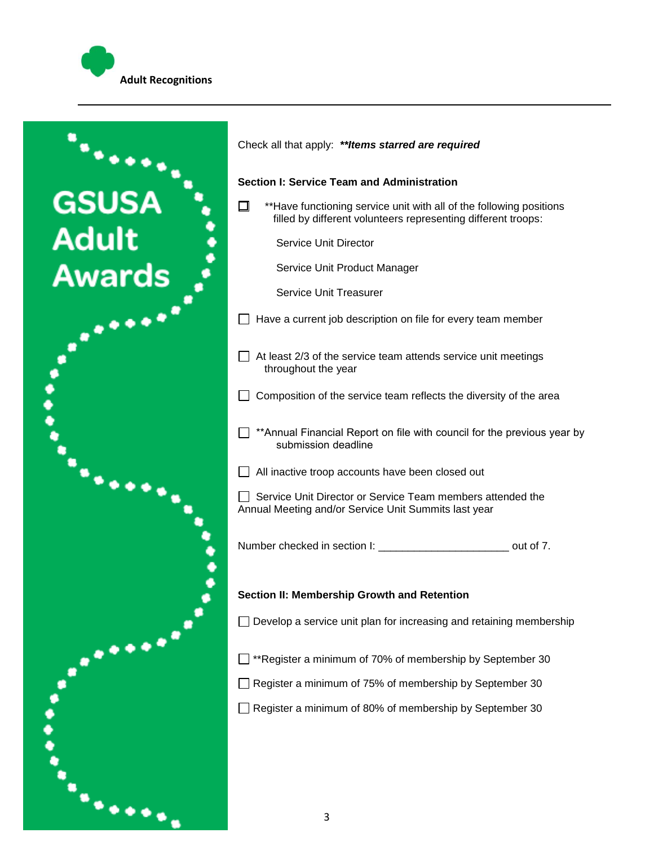



### Check all that apply: *\*\*Items starred are required*

### **Section I: Service Team and Administration**

 $\Box$  \*\*Have functioning service unit with all of the following positions filled by different volunteers representing different troops:

Service Unit Director

Service Unit Product Manager

Service Unit Treasurer

- $\Box$  Have a current job description on file for every team member
- $\Box$  At least 2/3 of the service team attends service unit meetings throughout the year
- $\Box$  Composition of the service team reflects the diversity of the area
- $\Box$  \*\*Annual Financial Report on file with council for the previous year by submission deadline
- $\Box$  All inactive troop accounts have been closed out

Service Unit Director or Service Team members attended the Annual Meeting and/or Service Unit Summits last year

Number checked in section I: \_\_\_\_\_\_\_\_\_\_\_\_\_\_\_\_\_\_\_\_\_\_ out of 7.

### **Section II: Membership Growth and Retention**

 $\Box$  Develop a service unit plan for increasing and retaining membership

- $\Box$  \*\*Register a minimum of 70% of membership by September 30
- $\Box$  Register a minimum of 75% of membership by September 30
- Register a minimum of 80% of membership by September 30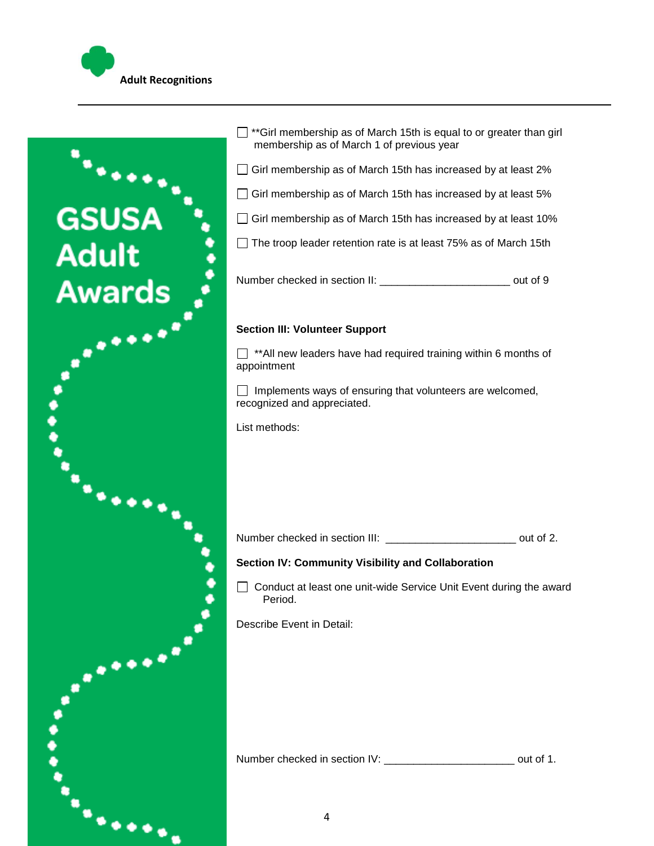

# in a ca **GSUSA**<br>Adult **Awards** ä 'n.  $\bullet\bullet\bullet$ in<br>Indiana

 $\Box$ <sup>\*\*</sup>Girl membership as of March 15th is equal to or greater than girl membership as of March 1 of previous year

- $\Box$  Girl membership as of March 15th has increased by at least 2%
- $\Box$  Girl membership as of March 15th has increased by at least 5%
- $\Box$  Girl membership as of March 15th has increased by at least 10%

 $\Box$  The troop leader retention rate is at least 75% as of March 15th

Number checked in section II: \_\_\_\_\_\_\_\_\_\_\_\_\_\_\_\_\_\_\_\_\_\_\_\_\_\_\_\_\_\_\_ out of 9

### **Section III: Volunteer Support**

 $\Box$  \*\*All new leaders have had required training within 6 months of appointment

 $\Box$  Implements ways of ensuring that volunteers are welcomed, recognized and appreciated.

List methods:

Number checked in section III: \_\_\_\_\_\_\_\_\_\_\_\_\_\_\_\_\_\_\_\_\_\_\_\_\_\_\_\_\_\_\_ out of 2.

### **Section IV: Community Visibility and Collaboration**

□ Conduct at least one unit-wide Service Unit Event during the award Period.

Describe Event in Detail:

Number checked in section IV: \_\_\_\_\_\_\_\_\_\_\_\_\_\_\_\_\_\_\_\_\_\_\_\_\_\_\_\_\_\_\_ out of 1.